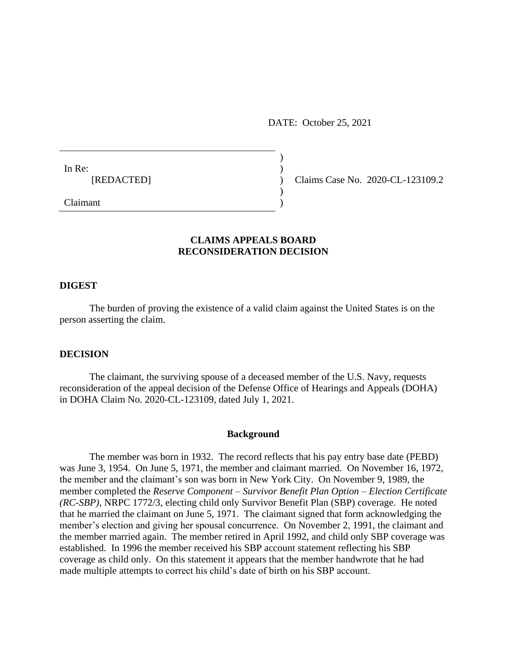DATE: October 25, 2021

In Re:  $\qquad \qquad$ )

[REDACTED] ) Claims Case No. 2020-CL-123109.2

Claimant )

# **CLAIMS APPEALS BOARD RECONSIDERATION DECISION**

)

 $\overline{)}$ 

### **DIGEST**

The burden of proving the existence of a valid claim against the United States is on the person asserting the claim.

### **DECISION**

The claimant, the surviving spouse of a deceased member of the U.S. Navy, requests reconsideration of the appeal decision of the Defense Office of Hearings and Appeals (DOHA) in DOHA Claim No. 2020-CL-123109, dated July 1, 2021.

### **Background**

The member was born in 1932. The record reflects that his pay entry base date (PEBD) was June 3, 1954. On June 5, 1971, the member and claimant married. On November 16, 1972, the member and the claimant's son was born in New York City. On November 9, 1989, the member completed the *Reserve Component – Survivor Benefit Plan Option – Election Certificate (RC-SBP)*, NRPC 1772/3, electing child only Survivor Benefit Plan (SBP) coverage. He noted that he married the claimant on June 5, 1971. The claimant signed that form acknowledging the member's election and giving her spousal concurrence. On November 2, 1991, the claimant and the member married again. The member retired in April 1992, and child only SBP coverage was established. In 1996 the member received his SBP account statement reflecting his SBP coverage as child only. On this statement it appears that the member handwrote that he had made multiple attempts to correct his child's date of birth on his SBP account.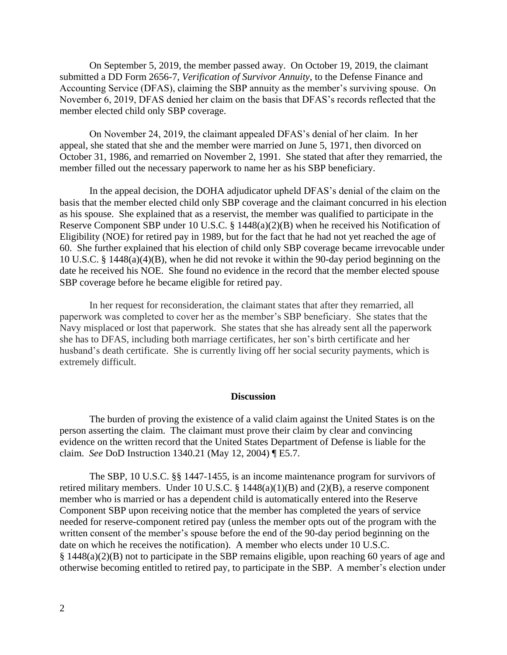On September 5, 2019, the member passed away. On October 19, 2019, the claimant submitted a DD Form 2656-7, *Verification of Survivor Annuity*, to the Defense Finance and Accounting Service (DFAS), claiming the SBP annuity as the member's surviving spouse. On November 6, 2019, DFAS denied her claim on the basis that DFAS's records reflected that the member elected child only SBP coverage.

On November 24, 2019, the claimant appealed DFAS's denial of her claim. In her appeal, she stated that she and the member were married on June 5, 1971, then divorced on October 31, 1986, and remarried on November 2, 1991. She stated that after they remarried, the member filled out the necessary paperwork to name her as his SBP beneficiary.

In the appeal decision, the DOHA adjudicator upheld DFAS's denial of the claim on the basis that the member elected child only SBP coverage and the claimant concurred in his election as his spouse. She explained that as a reservist, the member was qualified to participate in the Reserve Component SBP under 10 U.S.C. § 1448(a)(2)(B) when he received his Notification of Eligibility (NOE) for retired pay in 1989, but for the fact that he had not yet reached the age of 60. She further explained that his election of child only SBP coverage became irrevocable under 10 U.S.C. § 1448(a)(4)(B), when he did not revoke it within the 90-day period beginning on the date he received his NOE. She found no evidence in the record that the member elected spouse SBP coverage before he became eligible for retired pay.

In her request for reconsideration, the claimant states that after they remarried, all paperwork was completed to cover her as the member's SBP beneficiary. She states that the Navy misplaced or lost that paperwork. She states that she has already sent all the paperwork she has to DFAS, including both marriage certificates, her son's birth certificate and her husband's death certificate. She is currently living off her social security payments, which is extremely difficult.

#### **Discussion**

The burden of proving the existence of a valid claim against the United States is on the person asserting the claim. The claimant must prove their claim by clear and convincing evidence on the written record that the United States Department of Defense is liable for the claim. *See* DoD Instruction 1340.21 (May 12, 2004) ¶ E5.7.

The SBP, 10 U.S.C. §§ 1447-1455, is an income maintenance program for survivors of retired military members. Under 10 U.S.C. § 1448(a)(1)(B) and (2)(B), a reserve component member who is married or has a dependent child is automatically entered into the Reserve Component SBP upon receiving notice that the member has completed the years of service needed for reserve-component retired pay (unless the member opts out of the program with the written consent of the member's spouse before the end of the 90-day period beginning on the date on which he receives the notification). A member who elects under 10 U.S.C. § 1448(a)(2)(B) not to participate in the SBP remains eligible, upon reaching 60 years of age and otherwise becoming entitled to retired pay, to participate in the SBP. A member's election under